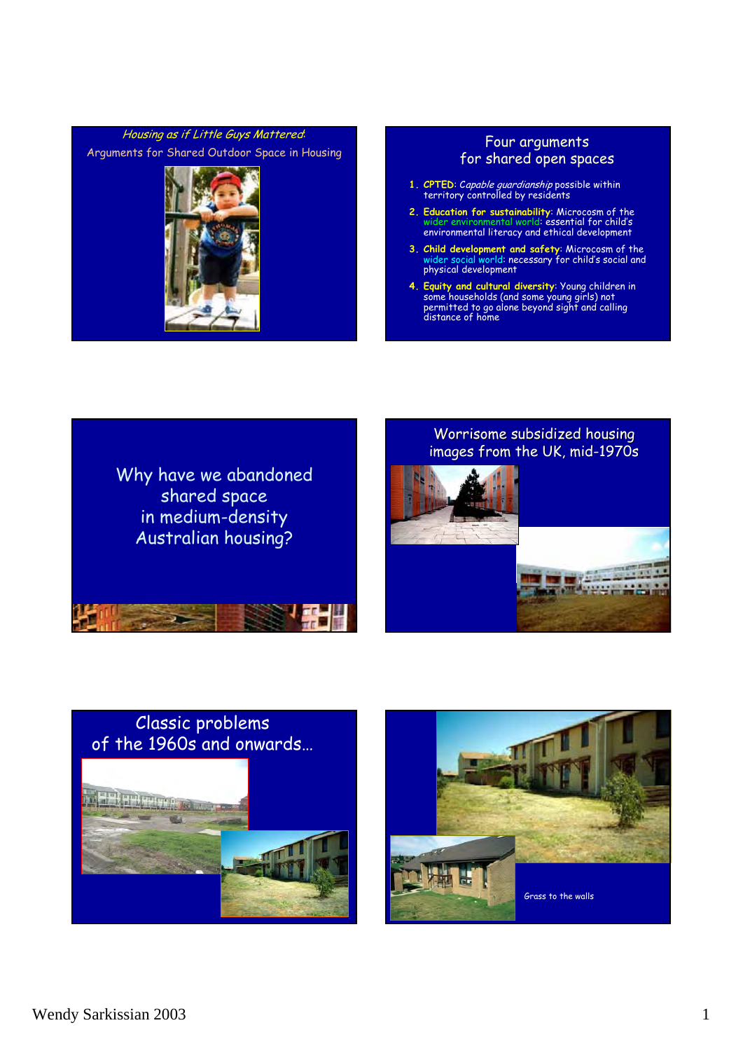

# for shared open spaces

- **1. CPTED**: Capable guardianship possible within territory controlled by residents
- **2. Education for sustainability**: Microcosm of the wider environmental world: essential for child's environmental literacy and ethical development
- **3. Child development and safety**: Microcosm of the wider social world: necessary for child's social and physical development
- **4. Equity and cultural diversity**: Young children in some households (and some young girls) not permitted to go alone beyond sight and calling distance of home





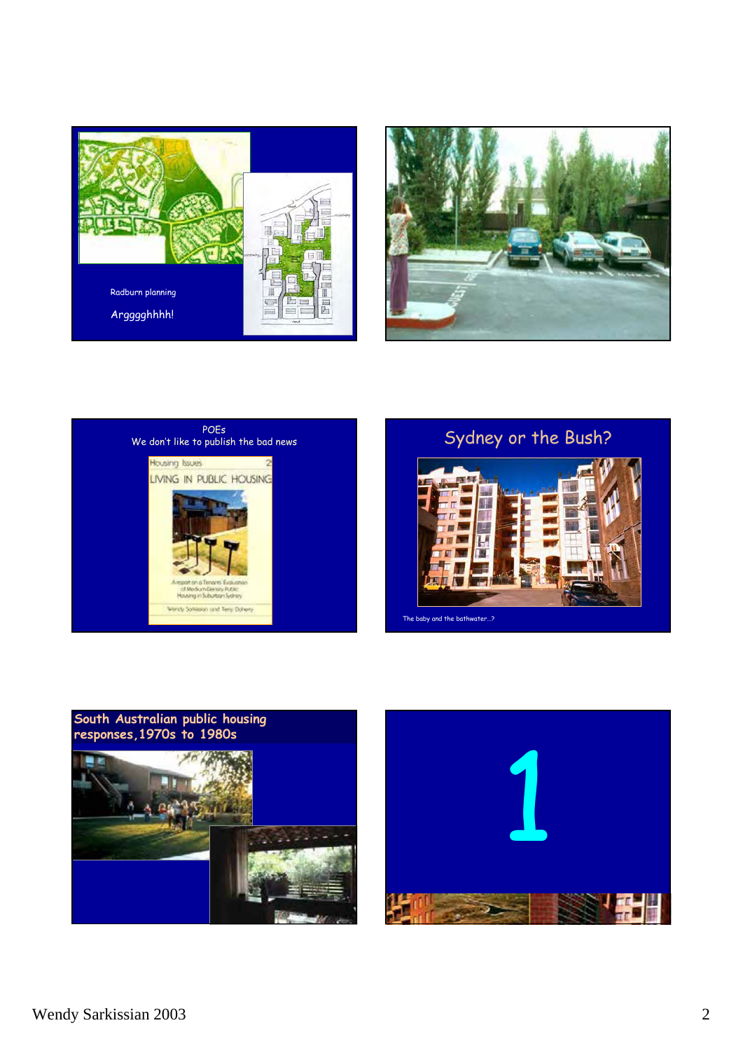











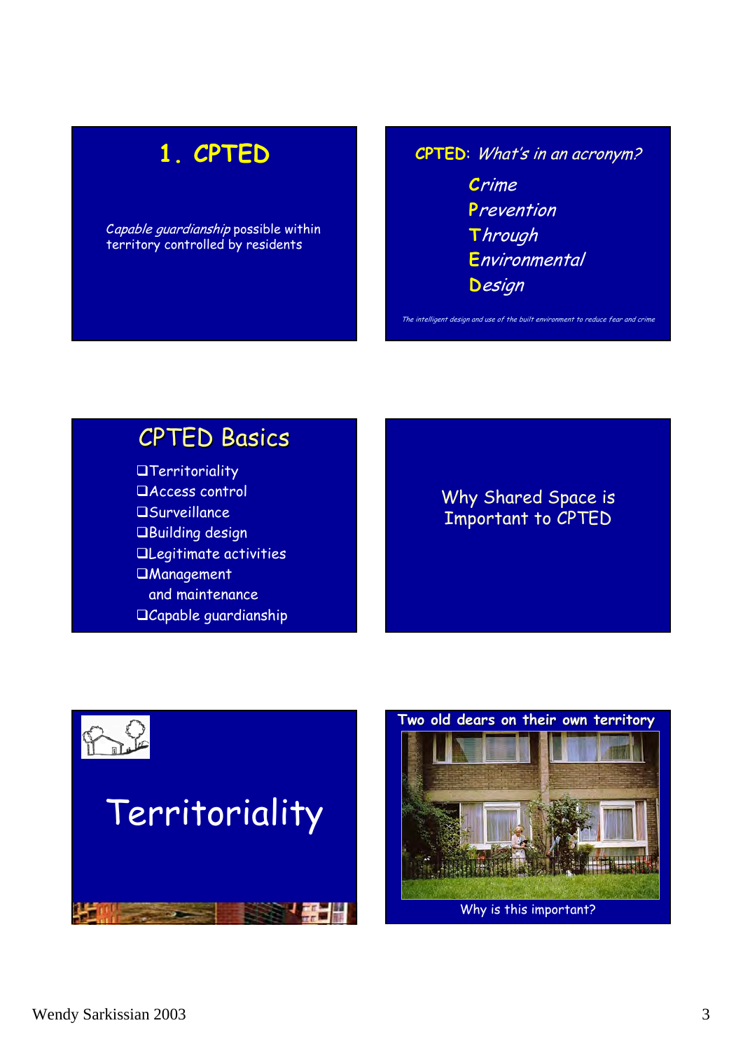# **1. CPTED**

Capable guardianship possible within territory controlled by residents

**CPTED**: What's in an acronym? **C**rime **P**revention **T**hrough **E**nvironmental

The intelligent design and use of the built environment to reduce fear and crime

**D**esign

# **CPTED Basics**

**Territoriality** Access control **OSurveillance** Building design Legitimate activities **UManagement** and maintenance Capable guardianship

## Why Shared Space is Important to CPTED



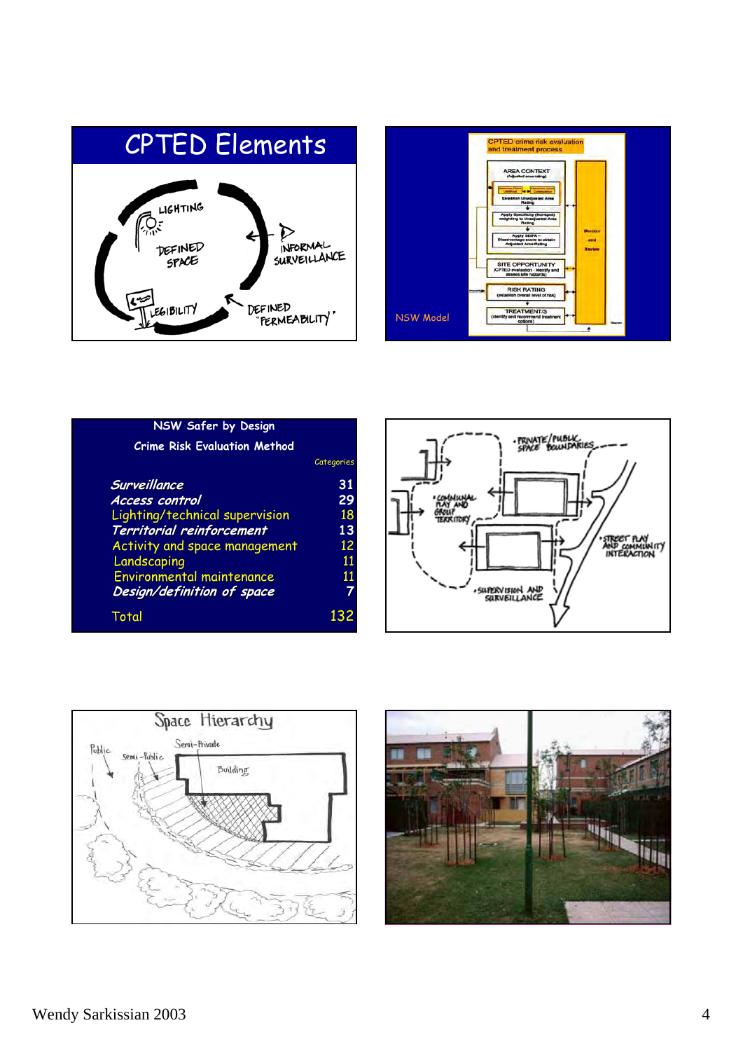



| NSW Safer by Design                 |            |
|-------------------------------------|------------|
| <b>Crime Risk Evaluation Method</b> |            |
|                                     | Categories |
| Surveillance                        | 31         |
| <b>Access control</b>               | 29         |
| Lighting/technical supervision      | 18         |
| Territorial reinforcement           | 13         |
| Activity and space management       | 12         |
| Landscaping                         | 11         |
| Environmental maintenance           | 11         |
| Design/definition of space          | 7          |
| Total                               | 132        |





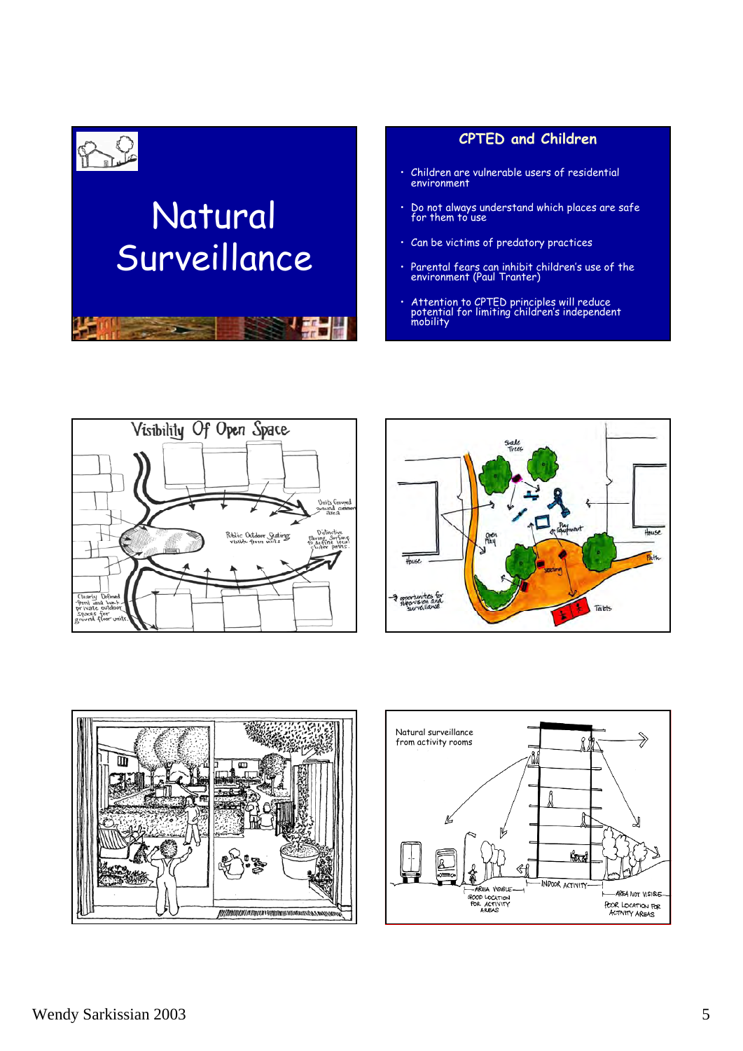

#### **CPTED and Children**

- Children are vulnerable users of residential environment
- Do not always understand which places are safe for them to use
- Can be victims of predatory practices
- Parental fears can inhibit children's use of the environment (Paul Tranter)
- Attention to CPTED principles will reduce potential for limiting children's independent mobility







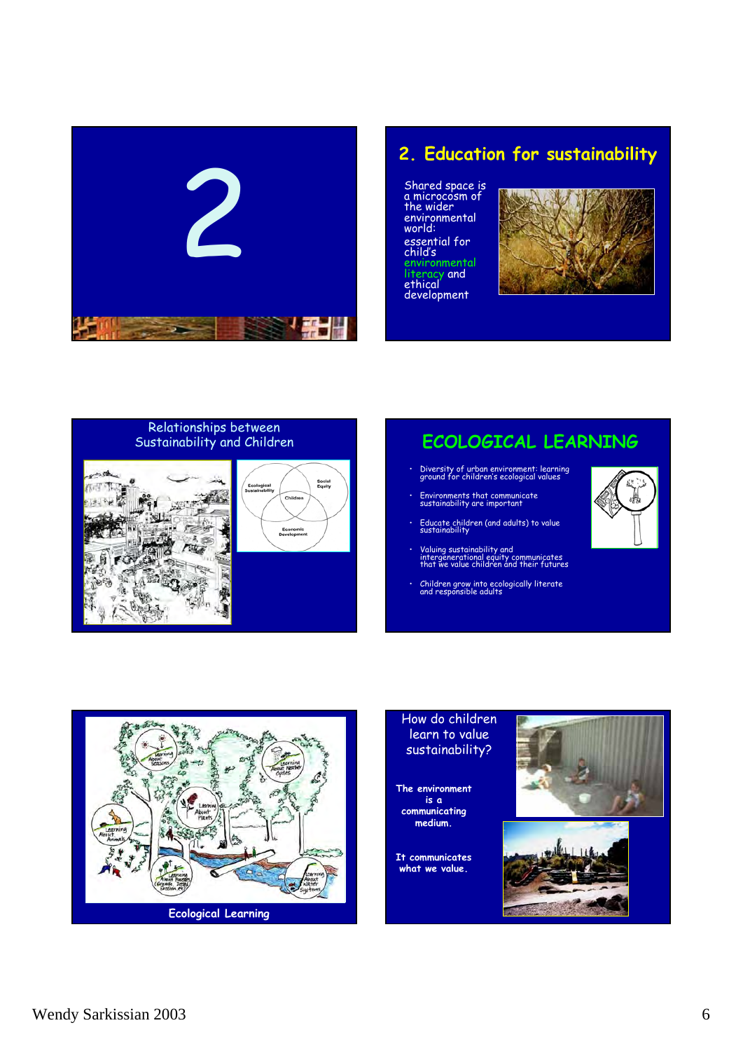

## **2. Education for sustainability**

Shared space is a microcosm of the wider environmental world: essential for child's environmental literacy and ethical development



# Relationships between<br>Sustainability and Children





## **ECOLOGICAL LEARNING**

- Diversity of urban environment: learning ground for children's ecological values
- Environments that communicate sustainability are important
- Educate children (and adults) to value sustainability
- Valuing sustainability and intergenerational equity communicates that we value children and their futures
- Children grow into ecologically literate and responsible adults





#### How do children learn to value sustainability?

**The environment is a communicating medium.**

**It communicates what we value.**

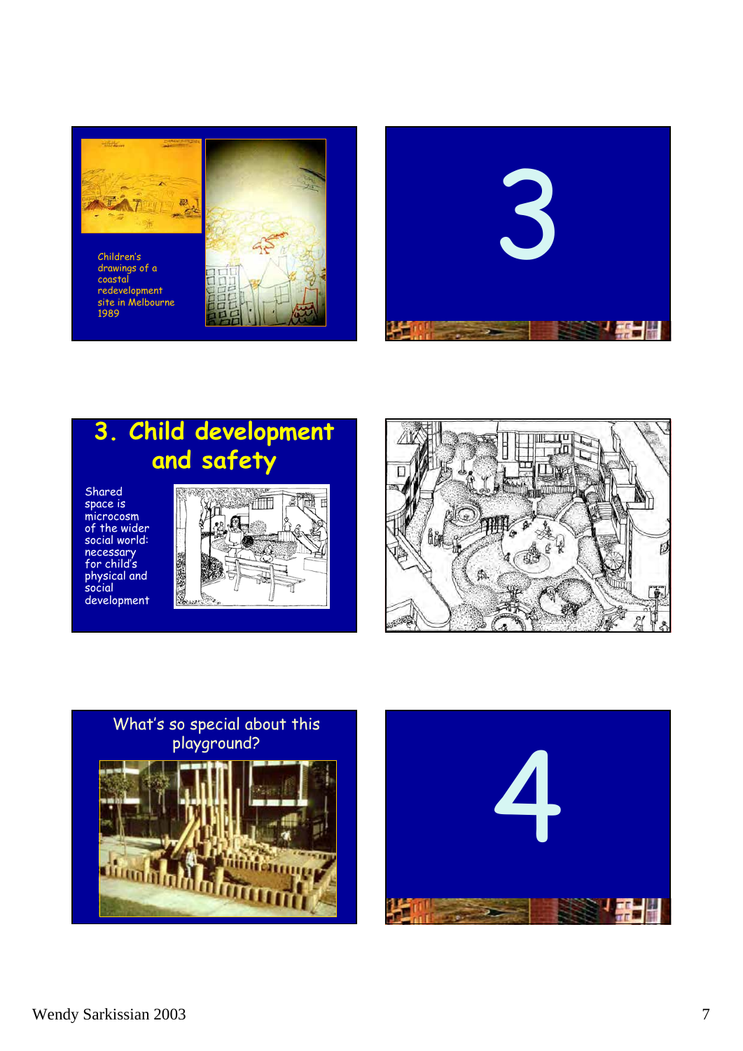

Children's drawings of a coastal redevelopment site in Melbourne 1989



## **3. Child development and safety**

Shared space is microcosm of the wider social world: necessary for child's physical and social development





# What's so special about this playground?



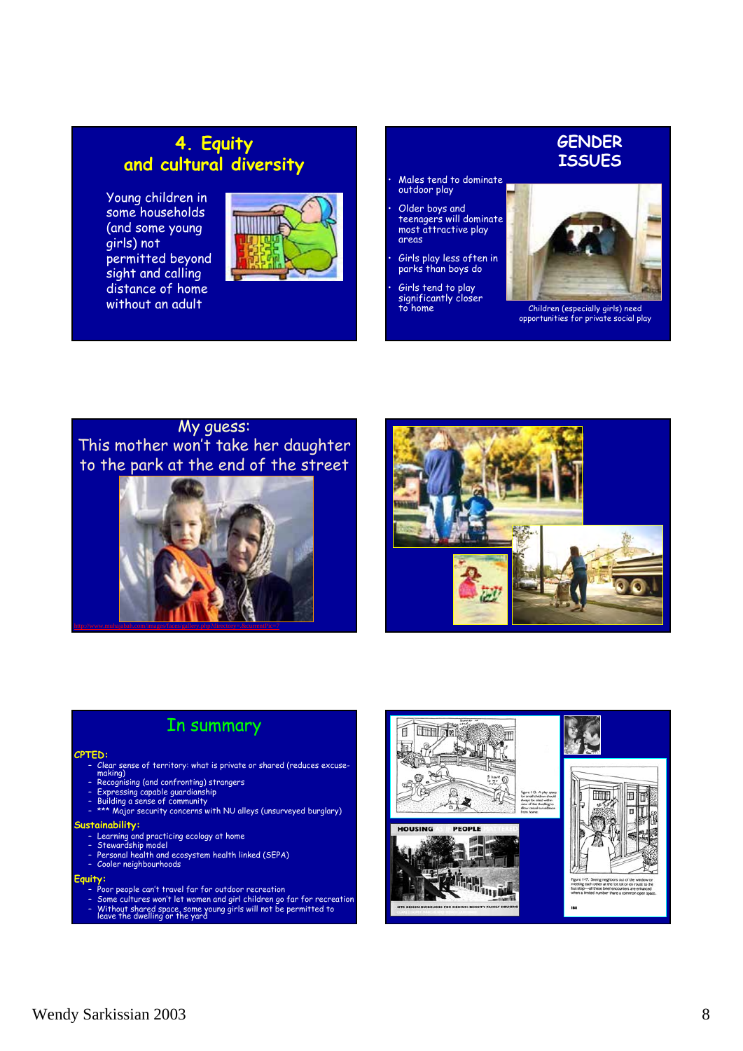## **4. Equity and cultural diversity**

Young children in some households (and some young girls) not permitted beyond sight and calling distance of home without an adult



#### **GENDER ISSUES**

- Males tend to dominate outdoor play
- Older boys and teenagers will dominate most attractive play areas
- Girls play less often in parks than boys do
- Girls tend to play significantly closer



to home Children (especially girls) need opportunities for private social play

### My guess: This mother won't take her daughter to the park at the end of the street





## In summary

#### **CPTED:**

- Clear sense of territory: what is private or shared (reduces excuse-<br>making)<br>- Recognising (and confronting) strangers<br>- Expressing capable guardianship<br>- Building a sense of community<br>- \*\*\* Major security concerns with
- 
- 
- 
- 

#### **Sustainability:**

- 
- 
- Learning and practicing ecology at home Stewardship model Personal health and ecosystem health linked (SEPA) Cooler neighbourhoods
- 

#### **Equity:**

- 
- Poor people can't travel far for outdoor recreation Some cultures won't let women and girl children go far for recreation Without shared space, some young girls will not be permitted to leave the dwelling or the yard
-